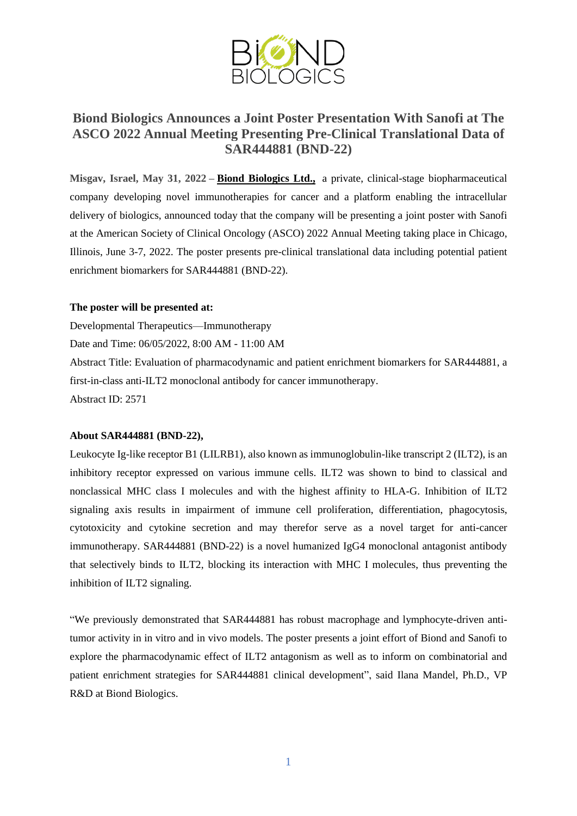

## **Biond Biologics Announces a Joint Poster Presentation With Sanofi at The ASCO 2022 Annual Meeting Presenting Pre-Clinical Translational Data of SAR444881 (BND-22)**

**Misgav, Israel, May 31, 2022 – Biond [Biologics](http://www.biondbio.com/) Ltd.,** a private, clinical-stage biopharmaceutical company developing novel immunotherapies for cancer and a platform enabling the intracellular delivery of biologics, announced today that the company will be presenting a joint poster with Sanofi at the American Society of Clinical Oncology (ASCO) 2022 Annual Meeting taking place in Chicago, Illinois, June 3-7, 2022. The poster presents pre-clinical translational data including potential patient enrichment biomarkers for SAR444881 (BND-22).

## **The poster will be presented at:**

Developmental Therapeutics—Immunotherapy Date and Time: 06/05/2022, 8:00 AM - 11:00 AM Abstract Title: Evaluation of pharmacodynamic and patient enrichment biomarkers for SAR444881, a first-in-class anti-ILT2 monoclonal antibody for cancer immunotherapy. Abstract ID: 2571

## **About SAR444881 (BND-22),**

Leukocyte Ig-like receptor B1 (LILRB1), also known as immunoglobulin-like transcript 2 (ILT2), is an inhibitory receptor expressed on various immune cells. ILT2 was shown to bind to classical and nonclassical MHC class I molecules and with the highest affinity to HLA-G. Inhibition of ILT2 signaling axis results in impairment of immune cell proliferation, differentiation, phagocytosis, cytotoxicity and cytokine secretion and may therefor serve as a novel target for anti-cancer immunotherapy. SAR444881 (BND-22) is a novel humanized IgG4 monoclonal antagonist antibody that selectively binds to ILT2, blocking its interaction with MHC I molecules, thus preventing the inhibition of ILT2 signaling.

"We previously demonstrated that SAR444881 has robust macrophage and lymphocyte-driven antitumor activity in in vitro and in vivo models. The poster presents a joint effort of Biond and Sanofi to explore the pharmacodynamic effect of ILT2 antagonism as well as to inform on combinatorial and patient enrichment strategies for SAR444881 clinical development", said Ilana Mandel, Ph.D., VP R&D at Biond Biologics.